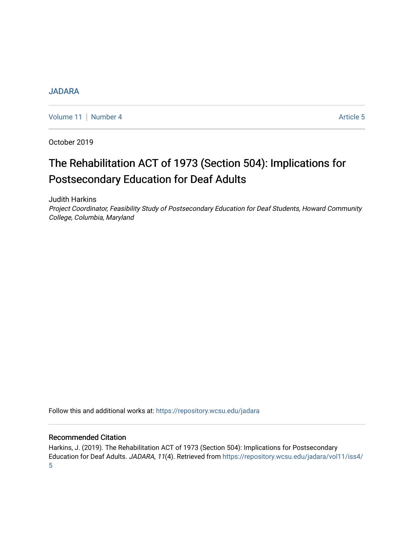## [JADARA](https://repository.wcsu.edu/jadara)

[Volume 11](https://repository.wcsu.edu/jadara/vol11) [Number 4](https://repository.wcsu.edu/jadara/vol11/iss4) Article 5

October 2019

# The Rehabilitation ACT of 1973 (Section 504): Implications for Postsecondary Education for Deaf Adults

Judith Harkins

Project Coordinator, Feasibility Study of Postsecondary Education for Deaf Students, Howard Community College, Columbia, Maryland

Follow this and additional works at: [https://repository.wcsu.edu/jadara](https://repository.wcsu.edu/jadara?utm_source=repository.wcsu.edu%2Fjadara%2Fvol11%2Fiss4%2F5&utm_medium=PDF&utm_campaign=PDFCoverPages)

### Recommended Citation

Harkins, J. (2019). The Rehabilitation ACT of 1973 (Section 504): Implications for Postsecondary Education for Deaf Adults. JADARA, 11(4). Retrieved from [https://repository.wcsu.edu/jadara/vol11/iss4/](https://repository.wcsu.edu/jadara/vol11/iss4/5?utm_source=repository.wcsu.edu%2Fjadara%2Fvol11%2Fiss4%2F5&utm_medium=PDF&utm_campaign=PDFCoverPages) [5](https://repository.wcsu.edu/jadara/vol11/iss4/5?utm_source=repository.wcsu.edu%2Fjadara%2Fvol11%2Fiss4%2F5&utm_medium=PDF&utm_campaign=PDFCoverPages)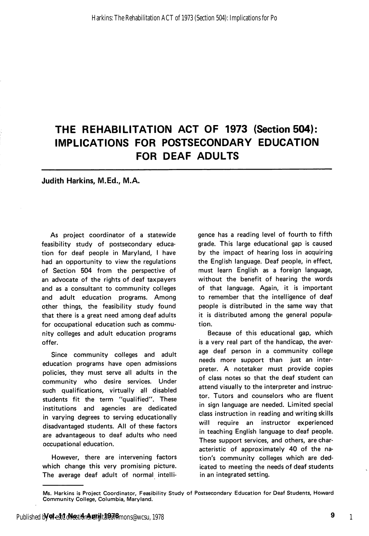# THE REHABILITATION ACT OF 1973 (Section 504): IMPLICATIONS FOR POSTSECONDARY EDUCATION FOR DEAF ADULTS

#### Judith Harkins, M.Ed., M.A.

As project coordinator of a statewide feasibility study of postsecondary educa tion for deaf people in Maryland, I have had an opportunity to view the regulations of Section 504 from the perspective of an advocate of the rights of deaf taxpayers and as a consultant to community colleges and adult education programs. Among other things, the feasibility study found that there is a great need among deaf adults for occupational education such as commu nity colleges and adult education programs offer.

Since community colleges and adult education programs have open admissions policies, they must serve all adults in the community who desire services. Under such qualifications, virtually all disabled students fit the term "qualified". These institutions and agencies are dedicated in varying degrees to serving educationally disadvantaged students. All of these factors are advantageous to deaf adults who need occupational education.

However, there are intervening factors which change this very promising picture. The average deaf adult of normal intelli

gence has a reading level of fourth to fifth grade. This large educational gap is caused by the impact of hearing loss in acquiring the English language. Deaf people, in effect, must learn English as a foreign language, without the benefit of hearing the words of that language. Again, it is important to remember that the intelligence of deaf people is distributed in the same way that it is distributed among the general popula tion.

Because of this educational gap, which is a very real part of the handicap, the aver age deaf person in a community college needs more support than just an inter preter. A notetaker must provide copies of class notes so that the deaf student can attend visually to the interpreter and instruc tor. Tutors and counselors who are fluent in sign language are needed. Limited special class instruction in reading and writing skills will require an instructor experienced in teaching English language to deaf people. These support services, and others, are char acteristic of approximately 40 of the na tion's community colleges which are ded icated to meeting the needs of deaf students in an integrated setting.

Ms. Harkins is Project Coordinator, Feasibility Study of Postsecondary Education for Deaf Students, Howard Community College, Columbia, Maryland.